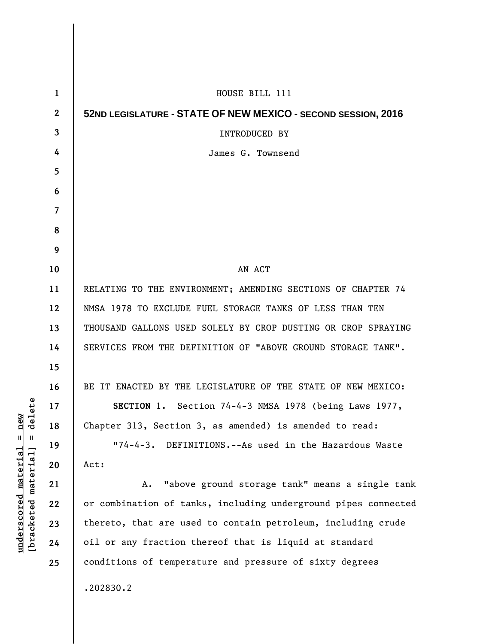| $\mathbf{1}$             | HOUSE BILL 111                                                 |
|--------------------------|----------------------------------------------------------------|
| $\boldsymbol{2}$         | 52ND LEGISLATURE - STATE OF NEW MEXICO - SECOND SESSION, 2016  |
| 3                        | <b>INTRODUCED BY</b>                                           |
| 4                        | James G. Townsend                                              |
| 5                        |                                                                |
| 6                        |                                                                |
| $\overline{\mathcal{L}}$ |                                                                |
| 8                        |                                                                |
| 9                        |                                                                |
| 10                       | AN ACT                                                         |
| 11                       | RELATING TO THE ENVIRONMENT; AMENDING SECTIONS OF CHAPTER 74   |
| 12                       | NMSA 1978 TO EXCLUDE FUEL STORAGE TANKS OF LESS THAN TEN       |
| 13                       | THOUSAND GALLONS USED SOLELY BY CROP DUSTING OR CROP SPRAYING  |
| 14                       | SERVICES FROM THE DEFINITION OF "ABOVE GROUND STORAGE TANK".   |
| 15                       |                                                                |
| 16                       | BE IT ENACTED BY THE LEGISLATURE OF THE STATE OF NEW MEXICO:   |
| 17                       | SECTION 1. Section 74-4-3 NMSA 1978 (being Laws 1977,          |
| 18                       | Chapter 313, Section 3, as amended) is amended to read:        |
| 19                       | "74-4-3. DEFINITIONS.--As used in the Hazardous Waste          |
| 20                       | Act:                                                           |
| 21                       | "above ground storage tank" means a single tank<br>Α.          |
| 22                       | or combination of tanks, including underground pipes connected |
| 23                       | thereto, that are used to contain petroleum, including crude   |
| 24                       | oil or any fraction thereof that is liquid at standard         |
| 25                       | conditions of temperature and pressure of sixty degrees        |
|                          | .202830.2                                                      |

 $[bracketeed-materiat] = delete$ **[bracketed material] = delete**  $underscored material = new$ **underscored material = new**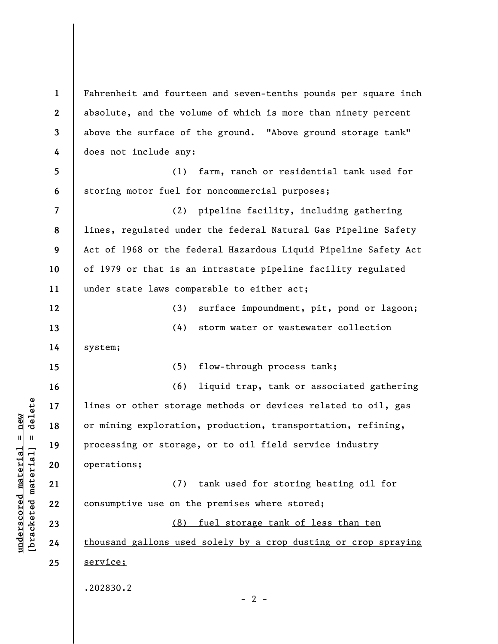**1**  Fahrenheit and fourteen and seven-tenths pounds per square inch **2**  absolute, and the volume of which is more than ninety percent above the surface of the ground. "Above ground storage tank" **3 4**  does not include any: **5**  (1) farm, ranch or residential tank used for **6**  storing motor fuel for noncommercial purposes; (2) pipeline facility, including gathering **7**  lines, regulated under the federal Natural Gas Pipeline Safety **8 9**  Act of 1968 or the federal Hazardous Liquid Pipeline Safety Act **10**  of 1979 or that is an intrastate pipeline facility regulated under state laws comparable to either act; **11**  (3) surface impoundment, pit, pond or lagoon; **12**  (4) storm water or wastewater collection **13 14**  system; (5) flow-through process tank; **15**  (6) liquid trap, tank or associated gathering **16**   $\frac{1}{2}$  intereted material = delete **[bracketed material] = delete 17**  lines or other storage methods or devices related to oil, gas or mining exploration, production, transportation, refining, **18**  processing or storage, or to oil field service industry **19**  operations; **20**  (7) tank used for storing heating oil for **21**  consumptive use on the premises where stored; **22**  (8) fuel storage tank of less than ten **23**  thousand gallons used solely by a crop dusting or crop spraying **24 25**  service; .202830.2  $- 2 -$ 

**underscored material = new**

 $underscored material = new$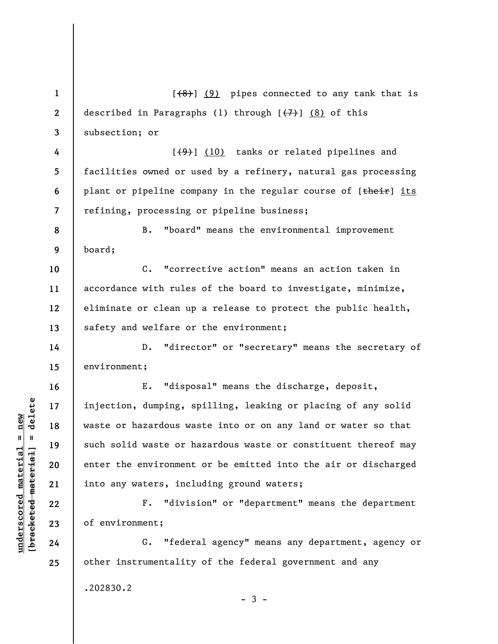**1 2 3 4 5 6 7 8 9 10 11 12 13 14 15 16 17 18 19 20 21 22 23 24 25**   $[ (8) ] (9)$  pipes connected to any tank that is described in Paragraphs (1) through  $[$ (7)  $]$  (8) of this subsection; or  $[\frac{(4)}{9}]$  (10) tanks or related pipelines and facilities owned or used by a refinery, natural gas processing plant or pipeline company in the regular course of [their] its refining, processing or pipeline business; B. "board" means the environmental improvement board; C. "corrective action" means an action taken in accordance with rules of the board to investigate, minimize, eliminate or clean up a release to protect the public health, safety and welfare or the environment; D. "director" or "secretary" means the secretary of environment; E. "disposal" means the discharge, deposit, injection, dumping, spilling, leaking or placing of any solid waste or hazardous waste into or on any land or water so that such solid waste or hazardous waste or constituent thereof may enter the environment or be emitted into the air or discharged into any waters, including ground waters; F. "division" or "department" means the department of environment; G. "federal agency" means any department, agency or other instrumentality of the federal government and any

- 3 -

.202830.2

 $\frac{1}{2}$  intereted material = delete **[bracketed material] = delete**  $underscored material = new$ **underscored material = new**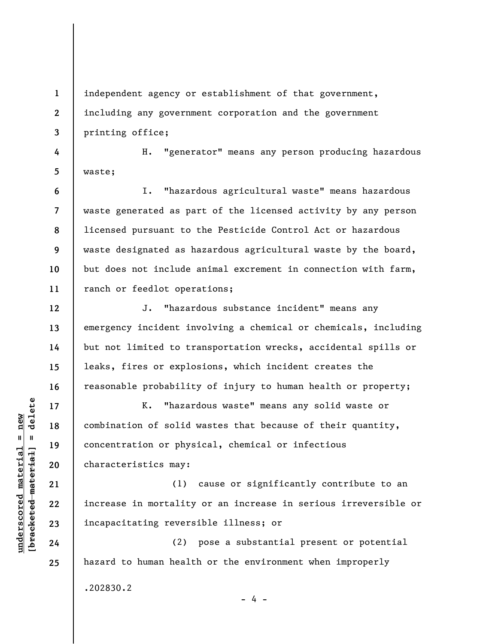independent agency or establishment of that government, including any government corporation and the government printing office;

H. "generator" means any person producing hazardous waste;

**6 7 8 9 10 11**  I. "hazardous agricultural waste" means hazardous waste generated as part of the licensed activity by any person licensed pursuant to the Pesticide Control Act or hazardous waste designated as hazardous agricultural waste by the board, but does not include animal excrement in connection with farm, ranch or feedlot operations;

J. "hazardous substance incident" means any emergency incident involving a chemical or chemicals, including but not limited to transportation wrecks, accidental spills or leaks, fires or explosions, which incident creates the reasonable probability of injury to human health or property;

K. "hazardous waste" means any solid waste or combination of solid wastes that because of their quantity, concentration or physical, chemical or infectious characteristics may:

(1) cause or significantly contribute to an increase in mortality or an increase in serious irreversible or incapacitating reversible illness; or

(2) pose a substantial present or potential hazard to human health or the environment when improperly .202830.2

 $\frac{1}{2}$  intereted material = delete **[bracketed material] = delete**  $underscored material = new$ **underscored material = new**

**1** 

**2** 

**3** 

**4** 

**5** 

**12** 

**13** 

**14** 

**15** 

**16** 

**17** 

**18** 

**19** 

**20** 

**21** 

**22** 

**23** 

**24** 

**25** 

- 4 -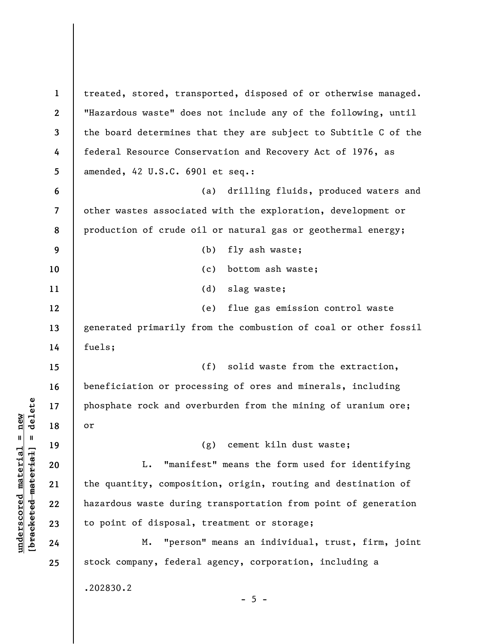**1 2 3 4 5 6 7 8 9 10 11 12 13 14 15 16 17 18 19 20 21 22 23 24 25**  treated, stored, transported, disposed of or otherwise managed. "Hazardous waste" does not include any of the following, until the board determines that they are subject to Subtitle C of the federal Resource Conservation and Recovery Act of 1976, as amended, 42 U.S.C. 6901 et seq.: (a) drilling fluids, produced waters and other wastes associated with the exploration, development or production of crude oil or natural gas or geothermal energy; (b) fly ash waste; (c) bottom ash waste; (d) slag waste; (e) flue gas emission control waste generated primarily from the combustion of coal or other fossil fuels; (f) solid waste from the extraction, beneficiation or processing of ores and minerals, including phosphate rock and overburden from the mining of uranium ore; or (g) cement kiln dust waste; L. "manifest" means the form used for identifying the quantity, composition, origin, routing and destination of hazardous waste during transportation from point of generation to point of disposal, treatment or storage; M. "person" means an individual, trust, firm, joint stock company, federal agency, corporation, including a .202830.2  $- 5 -$ 

**underscored material = new [bracketed material] = delete**

 $\frac{1}{2}$  intereted material = delete  $underscored material = new$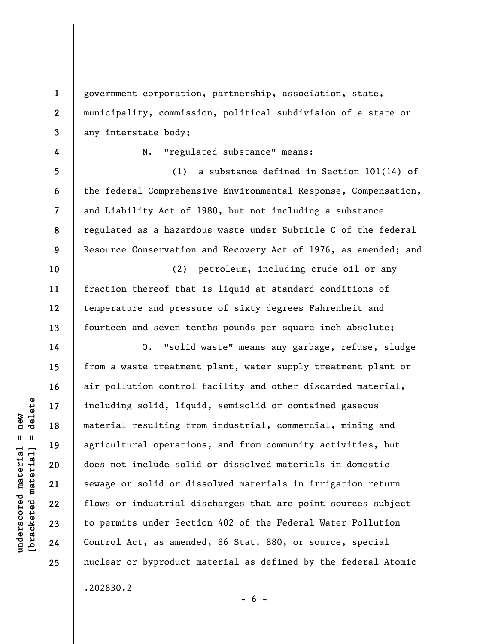**1 2**  government corporation, partnership, association, state, municipality, commission, political subdivision of a state or any interstate body;

**4 5 6** 

**7** 

**8** 

**9** 

**10** 

**11** 

**12** 

**13** 

**14** 

**15** 

**16** 

**17** 

**18** 

**19** 

**20** 

**21** 

**22** 

**23** 

**24** 

**25** 

**3** 

N. "regulated substance" means:

(1) a substance defined in Section 101(14) of the federal Comprehensive Environmental Response, Compensation, and Liability Act of 1980, but not including a substance regulated as a hazardous waste under Subtitle C of the federal Resource Conservation and Recovery Act of 1976, as amended; and

(2) petroleum, including crude oil or any fraction thereof that is liquid at standard conditions of temperature and pressure of sixty degrees Fahrenheit and fourteen and seven-tenths pounds per square inch absolute;

O. "solid waste" means any garbage, refuse, sludge from a waste treatment plant, water supply treatment plant or air pollution control facility and other discarded material, including solid, liquid, semisolid or contained gaseous material resulting from industrial, commercial, mining and agricultural operations, and from community activities, but does not include solid or dissolved materials in domestic sewage or solid or dissolved materials in irrigation return flows or industrial discharges that are point sources subject to permits under Section 402 of the Federal Water Pollution Control Act, as amended, 86 Stat. 880, or source, special nuclear or byproduct material as defined by the federal Atomic .202830.2

 $- 6 -$ 

 $\frac{1}{2}$  bracketed material = delete **[bracketed material] = delete**  $underscored material = new$ **underscored material = new**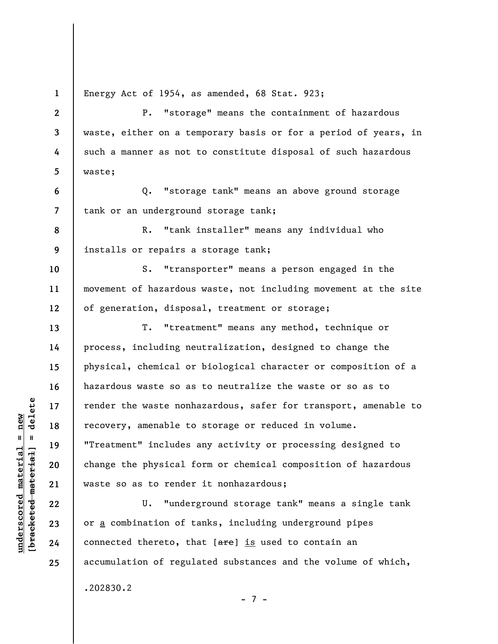**1** 

**6** 

**7** 

**10** 

**11** 

**12** 

**13** 

**14** 

**15** 

**16** 

**17** 

**18** 

**19** 

**20** 

**21** 

**22** 

**23** 

**24** 

**25** 

Energy Act of 1954, as amended, 68 Stat. 923;

**2 3 4 5**  P. "storage" means the containment of hazardous waste, either on a temporary basis or for a period of years, in such a manner as not to constitute disposal of such hazardous waste;

Q. "storage tank" means an above ground storage tank or an underground storage tank;

**8 9**  R. "tank installer" means any individual who installs or repairs a storage tank;

S. "transporter" means a person engaged in the movement of hazardous waste, not including movement at the site of generation, disposal, treatment or storage;

T. "treatment" means any method, technique or process, including neutralization, designed to change the physical, chemical or biological character or composition of a hazardous waste so as to neutralize the waste or so as to render the waste nonhazardous, safer for transport, amenable to recovery, amenable to storage or reduced in volume. "Treatment" includes any activity or processing designed to change the physical form or chemical composition of hazardous waste so as to render it nonhazardous;

U. "underground storage tank" means a single tank or a combination of tanks, including underground pipes connected thereto, that  $[**are**]$  is used to contain an accumulation of regulated substances and the volume of which,

- 7 -

.202830.2

 $\frac{1}{2}$  intereted material = delete **[bracketed material] = delete**  $underscored material = new$ **underscored material = new**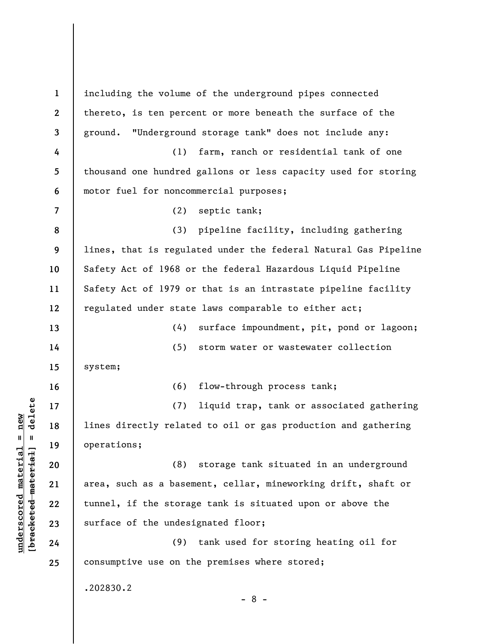**1 2 3 4 5 6 7 8 9 10 11 12 13 14 15 16 17 18 19 20 21 22 23 24 25**  including the volume of the underground pipes connected thereto, is ten percent or more beneath the surface of the ground. "Underground storage tank" does not include any: (1) farm, ranch or residential tank of one thousand one hundred gallons or less capacity used for storing motor fuel for noncommercial purposes; (2) septic tank; (3) pipeline facility, including gathering lines, that is regulated under the federal Natural Gas Pipeline Safety Act of 1968 or the federal Hazardous Liquid Pipeline Safety Act of 1979 or that is an intrastate pipeline facility regulated under state laws comparable to either act; (4) surface impoundment, pit, pond or lagoon; (5) storm water or wastewater collection system; (6) flow-through process tank; (7) liquid trap, tank or associated gathering lines directly related to oil or gas production and gathering operations; (8) storage tank situated in an underground area, such as a basement, cellar, mineworking drift, shaft or tunnel, if the storage tank is situated upon or above the surface of the undesignated floor; (9) tank used for storing heating oil for consumptive use on the premises where stored; .202830.2 - 8 -

**underscored material = new [bracketed material] = delete**

 $\frac{1}{2}$  intereted material = delete  $underscored material = new$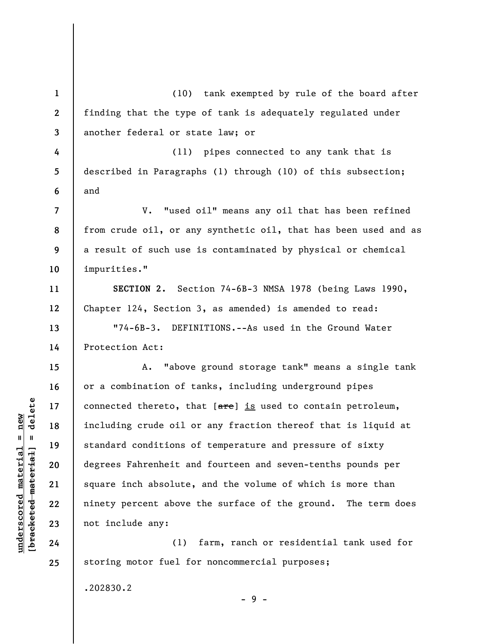**1 2 3 4 5 6 7 8 9 10 11 12 13 14 15 16 17 18 19 20 21 22 23 24**  (10) tank exempted by rule of the board after finding that the type of tank is adequately regulated under another federal or state law; or (11) pipes connected to any tank that is described in Paragraphs (1) through (10) of this subsection; and V. "used oil" means any oil that has been refined from crude oil, or any synthetic oil, that has been used and as a result of such use is contaminated by physical or chemical impurities." **SECTION 2.** Section 74-6B-3 NMSA 1978 (being Laws 1990, Chapter 124, Section 3, as amended) is amended to read: "74-6B-3. DEFINITIONS.--As used in the Ground Water Protection Act: A. "above ground storage tank" means a single tank or a combination of tanks, including underground pipes connected thereto, that  $[**are**]$  is used to contain petroleum, including crude oil or any fraction thereof that is liquid at standard conditions of temperature and pressure of sixty degrees Fahrenheit and fourteen and seven-tenths pounds per square inch absolute, and the volume of which is more than ninety percent above the surface of the ground. The term does not include any: (1) farm, ranch or residential tank used for

.202830.2

- 9 -

storing motor fuel for noncommercial purposes;

 $b$ racketed material] = delete **[bracketed material] = delete**  $underscored$  material = new **underscored material = new**

**25**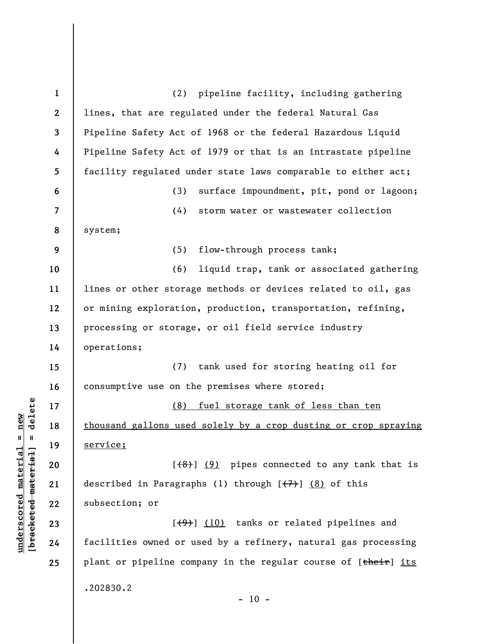**1 2 3 4 5 6 7 8 9 10 11 12 13 14 15 16 17 18 19 20 21 22 23 24 25**  (2) pipeline facility, including gathering lines, that are regulated under the federal Natural Gas Pipeline Safety Act of 1968 or the federal Hazardous Liquid Pipeline Safety Act of 1979 or that is an intrastate pipeline facility regulated under state laws comparable to either act; (3) surface impoundment, pit, pond or lagoon; (4) storm water or wastewater collection system; (5) flow-through process tank; (6) liquid trap, tank or associated gathering lines or other storage methods or devices related to oil, gas or mining exploration, production, transportation, refining, processing or storage, or oil field service industry operations; (7) tank used for storing heating oil for consumptive use on the premises where stored; (8) fuel storage tank of less than ten thousand gallons used solely by a crop dusting or crop spraying service;  $[\frac{(8)}{8}]$  (9) pipes connected to any tank that is described in Paragraphs (1) through  $[$ (7)  $]$  (8) of this subsection; or  $[\frac{(9)}{10}]$  tanks or related pipelines and facilities owned or used by a refinery, natural gas processing plant or pipeline company in the regular course of [their] its .202830.2  $- 10 -$ 

**underscored material = new [bracketed material] = delete**

 $\frac{1}{2}$  bracketed material = delete  $underscored material = new$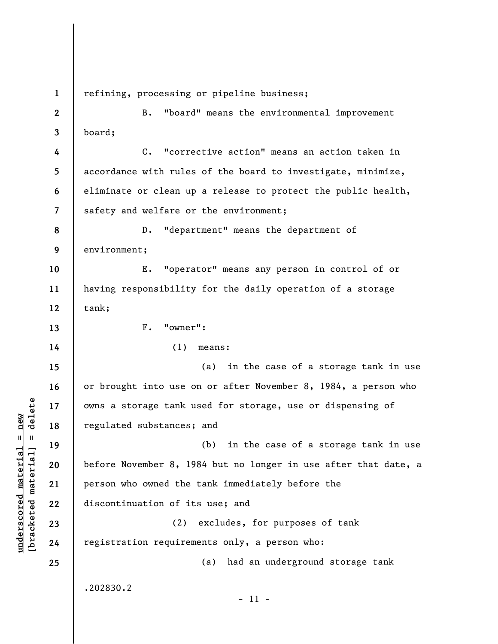**1**  refining, processing or pipeline business; **2**  B. "board" means the environmental improvement **3**  board; **4**  C. "corrective action" means an action taken in **5**  accordance with rules of the board to investigate, minimize, **6**  eliminate or clean up a release to protect the public health, safety and welfare or the environment; **7**  D. "department" means the department of **8 9**  environment; E. "operator" means any person in control of or **10**  having responsibility for the daily operation of a storage **11 12**  tank; F. "owner": **13 14**  (1) means: (a) in the case of a storage tank in use **15**  or brought into use on or after November 8, 1984, a person who **16**   $\frac{1}{2}$  intereted material = delete **[bracketed material] = delete 17**  owns a storage tank used for storage, use or dispensing of regulated substances; and **18**  (b) in the case of a storage tank in use **19**  before November 8, 1984 but no longer in use after that date, a **20**  person who owned the tank immediately before the **21**  discontinuation of its use; and **22**  (2) excludes, for purposes of tank **23**  registration requirements only, a person who: **24**  (a) had an underground storage tank **25**  .202830.2 - 11 -

**underscored material = new**

 $underscored material = new$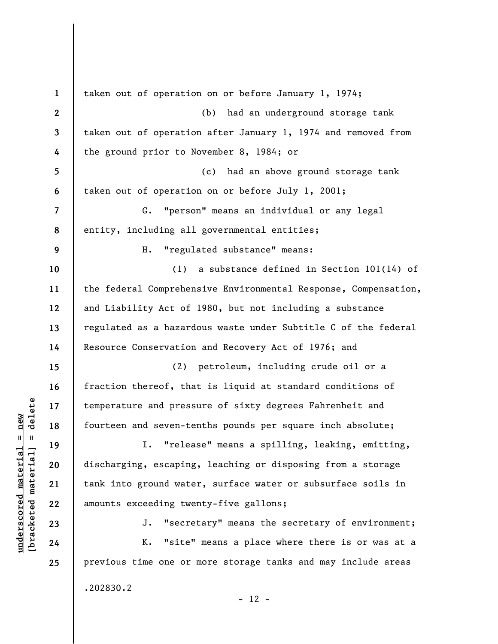**1 2 3 4 5 6 7 8 9 10 11 12 13 14 15 16 17 18 19 20 21 22 23 24 25**  taken out of operation on or before January 1, 1974; (b) had an underground storage tank taken out of operation after January 1, 1974 and removed from the ground prior to November 8, 1984; or (c) had an above ground storage tank taken out of operation on or before July 1, 2001; G. "person" means an individual or any legal entity, including all governmental entities; H. "regulated substance" means: (1) a substance defined in Section 101(14) of the federal Comprehensive Environmental Response, Compensation, and Liability Act of 1980, but not including a substance regulated as a hazardous waste under Subtitle C of the federal Resource Conservation and Recovery Act of 1976; and (2) petroleum, including crude oil or a fraction thereof, that is liquid at standard conditions of temperature and pressure of sixty degrees Fahrenheit and fourteen and seven-tenths pounds per square inch absolute; I. "release" means a spilling, leaking, emitting, discharging, escaping, leaching or disposing from a storage tank into ground water, surface water or subsurface soils in amounts exceeding twenty-five gallons; J. "secretary" means the secretary of environment; K. "site" means a place where there is or was at a previous time one or more storage tanks and may include areas .202830.2  $- 12 -$ 

 $\frac{1}{2}$  intereted material = delete **[bracketed material] = delete**  $anderscored material = new$ **underscored material = new**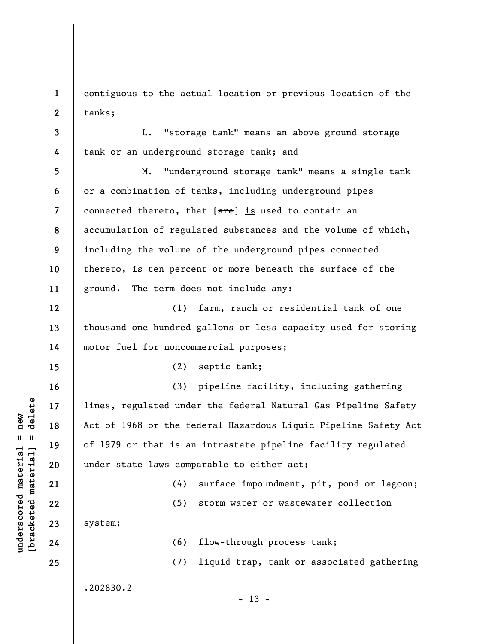**1 2**  contiguous to the actual location or previous location of the tanks;

L. "storage tank" means an above ground storage tank or an underground storage tank; and

**5 6 7 8 9 10 11**  M. "underground storage tank" means a single tank or a combination of tanks, including underground pipes connected thereto, that  $[**are**]$  is used to contain an accumulation of regulated substances and the volume of which, including the volume of the underground pipes connected thereto, is ten percent or more beneath the surface of the ground. The term does not include any:

(1) farm, ranch or residential tank of one thousand one hundred gallons or less capacity used for storing motor fuel for noncommercial purposes;

(2) septic tank;

(3) pipeline facility, including gathering lines, regulated under the federal Natural Gas Pipeline Safety Act of 1968 or the federal Hazardous Liquid Pipeline Safety Act of 1979 or that is an intrastate pipeline facility regulated under state laws comparable to either act;

(4) surface impoundment, pit, pond or lagoon;

(5) storm water or wastewater collection

system;

**24** 

**25** 

**3** 

**4** 

**12** 

**13** 

**14** 

**15** 

**16** 

**17** 

**18** 

**19** 

**20** 

**21** 

**22** 

**23** 

**underscored material = new [bracketed material] = delete**

 $\frac{1}{2}$  intereted material = delete  $underscored material = new$ 

(6) flow-through process tank;

(7) liquid trap, tank or associated gathering

.202830.2

 $- 13 -$